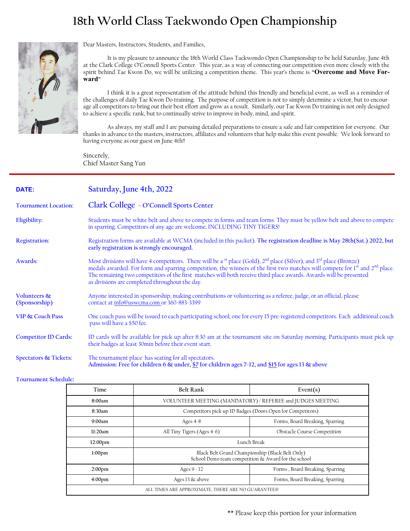### **18th World Class Taekwondo Open Championship**



Dear Masters, Instructors, Students, and Families,

It is my pleasure to announce the 18th World Class Taekwondo Open Championship to be held Saturday, June 4th at the Clark College O'Connell Sports Center. This year, as a way of connecting our competition even more closely with the spirit behind Tae Kwon Do, we will be utilizing a competition theme. This year's theme is **"Overcome and Move Forward"** 

I think it is a great representation of the attitude behind this friendly and beneficial event, as well as a reminder of the challenges of daily Tae Kwon Do training. The purpose of competition is not to simply determine a victor, but to encourage all competitors to bring out their best effort and grow as a result. Similarly, our Tae Kwon Do training is not only designed to achieve a specific rank, but to continually strive to improve in body, mind, and spirit.

As always, my staff and I are pursuing detailed preparations to ensure a safe and fair competition for everyone. Our thanks in advance to the masters, instructors, affiliates and volunteers that help make this event possible. We look forward to having everyone as our guest on June 4th!!

Sincerely, Chief Master Sang Yun

| DATE:                         | Saturday, June 4th, 2022                                                                                                                                                                                                                                                                                                                                                                                                                                         |
|-------------------------------|------------------------------------------------------------------------------------------------------------------------------------------------------------------------------------------------------------------------------------------------------------------------------------------------------------------------------------------------------------------------------------------------------------------------------------------------------------------|
| <b>Tournament Location:</b>   | Clark College - O'Connell Sports Center                                                                                                                                                                                                                                                                                                                                                                                                                          |
| Eligibility:                  | Students must be white belt and above to compete in forms and team forms. They must be yellow belt and above to compete<br>in sparring. Competitors of any age are welcome, INCLUDING TINY TIGERS!                                                                                                                                                                                                                                                               |
| <b>Registration:</b>          | Registration forms are available at WCMA (included in this packet). The registration deadline is May 28th(Sat.) 2022, but<br>early registration is strongly encouraged.                                                                                                                                                                                                                                                                                          |
| Awards:                       | Most divisions will have 4 competitors. There will be a <sup>st</sup> place (Gold), $2nd$ place (Silver), and $3rd$ place (Bronze)<br>medals awarded. For form and sparring competition, the winners of the first two matches will compete for 1 <sup>st</sup> and 2 <sup>nd</sup> place.<br>The remaining two competitors of the first matches will both receive third place awards. Awards will be presented<br>as divisions are completed throughout the day. |
| Volunteers &<br>(Sponsorship) | Anyone interested in sponsorship, making contributions or volunteering as a referee, judge, or an official, please<br>contact at info@uswcma.com or 360-883-3399                                                                                                                                                                                                                                                                                                 |
| <b>VIP &amp; Coach Pass</b>   | One coach pass will be issued to each participating school; one for every 15 pre-registered competitors. Each additional coach<br>pass will have a \$50 fee.                                                                                                                                                                                                                                                                                                     |
| <b>Competitor ID Cards:</b>   | ID cards will be available for pick up after 8:30 am at the tournament site on Saturday morning. Participants must pick up<br>their badges at least 30min before their event start.                                                                                                                                                                                                                                                                              |
| Spectators & Tickets:         | The tournament place has seating for all spectators.<br>Admission: Free for children 6 & under, \$7 for children ages 7-12, and \$15 for ages 13 & above                                                                                                                                                                                                                                                                                                         |

**Tournament Schedule:** 

| Time                                                | <b>Belt Rank</b>                                                                                       | Event $(s)$                        |  |  |
|-----------------------------------------------------|--------------------------------------------------------------------------------------------------------|------------------------------------|--|--|
| 8:00am                                              | VOLUNTEER MEETING (MANDATORY) / REFEREE and JUDGES MEETING                                             |                                    |  |  |
| 8:30am                                              | Competitors pick up ID Badges (Doors Open for Competitors)                                             |                                    |  |  |
| 9:00am                                              | Forms, Board Breaking, Sparring<br>Ages $4-8$                                                          |                                    |  |  |
| 11:20am                                             | All Tiny Tigers (Ages 4-6)                                                                             | <b>Obstacle Course Competition</b> |  |  |
| 12:00 <sub>pm</sub>                                 | Lunch Break                                                                                            |                                    |  |  |
| 1:00 <sub>pm</sub>                                  | Black Belt Grand Championship (Black Belt Only)<br>School Demo team competition & Award for the school |                                    |  |  |
| 2:00 <sub>pm</sub>                                  | Ages $9 - 12$                                                                                          | Forms, Board Breaking, Sparring    |  |  |
| 4:00 <sub>pm</sub>                                  | Ages 13 & above                                                                                        | Forms, Board Breaking, Sparring    |  |  |
| ALL TIMES ARE APPROXIMATE, THERE ARE NO GUARANTEES! |                                                                                                        |                                    |  |  |

\*\* Please keep this portion for your information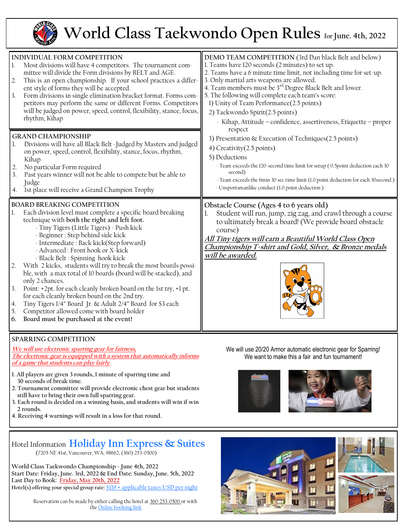

## **World Class Taekwondo Open Rules for June. 4th, 2022**

| INDIVIDUAL FORM COMPETITION<br>Most divisions will have 4 competitors. The tournament com-<br>1.<br>mittee will divide the Form divisions by BELT and AGE.<br>This is an open championship. If your school practices a differ-<br> 2.<br>ent style of forms they will be accepted.<br>Form divisions in single elimination bracket format. Forms com-<br>3.<br>petitors may perform the same or different Forms. Competitors<br>will be judged on power, speed, control, flexibility, stance, focus,<br>rhythm, Kihap                                                                                                                                                                                                                                                                                                            | DEMO TEAM COMPETITION (3rd Dan black Belt and below)<br>1. Teams have 120 seconds (2 minutes) to set up.<br>2. Teams have a 6 minute time limit, not including time for set-up.<br>3. Only martial arts weapons are allowed.<br>4. Team members must be 3 <sup>rd</sup> Degree Black Belt and lower.<br>5. The following will complete each team's score:<br>1) Unity of Team Performance(2.5 points)<br>2) Taekwondo Spirit(2.5 points)<br>- Kihap, Attitude - confidence, assertiveness, Etiquette - proper<br>respect<br>3) Presentation & Execution of Techniques(2.5 points)<br>4) Creativity (2.5 points)<br>5) Deductions<br>- Team exceeds the 120-second time limit for setup (0.5point deduction each 30<br>second)<br>- Team exceeds the 6min 30 sec time limit (1.0 point deduction for each 30 second)<br>- Unsportsmanlike conduct (1.0 point deduction) |  |
|----------------------------------------------------------------------------------------------------------------------------------------------------------------------------------------------------------------------------------------------------------------------------------------------------------------------------------------------------------------------------------------------------------------------------------------------------------------------------------------------------------------------------------------------------------------------------------------------------------------------------------------------------------------------------------------------------------------------------------------------------------------------------------------------------------------------------------|------------------------------------------------------------------------------------------------------------------------------------------------------------------------------------------------------------------------------------------------------------------------------------------------------------------------------------------------------------------------------------------------------------------------------------------------------------------------------------------------------------------------------------------------------------------------------------------------------------------------------------------------------------------------------------------------------------------------------------------------------------------------------------------------------------------------------------------------------------------------|--|
| <b>GRAND CHAMPIONSHIP</b><br>Divisions will have all Black Belt -Judged by Masters and judged<br>on power, speed, control, flexibility, stance, focus, rhythm,<br>Kihap<br>No particular Form required<br>2.<br>Past years winner will not be able to compete but be able to<br>3.<br>Judge<br>1st place will receive a Grand Champion Trophy<br>4.                                                                                                                                                                                                                                                                                                                                                                                                                                                                              |                                                                                                                                                                                                                                                                                                                                                                                                                                                                                                                                                                                                                                                                                                                                                                                                                                                                        |  |
| <b>BOARD BREAKING COMPETITION</b><br>Each division level must complete a specific board breaking<br>1.<br>technique with both the right and left foot.<br>- Tiny Tigers (Little Tigers) - Push kick<br>- Beginner : Step behind side kick<br>- Intermediate : Back kick(Step forward)<br>- Advanced : Front hook or X-kick<br>- Black Belt : Spinning hook kick<br>With 2 kicks, students will try to break the most boards possi-<br>2.<br>ble, with a max total of 10 boards (board will be stacked), and<br>only 2 chances.<br>3.<br>Point: +2pt. for each cleanly broken board on the 1st try, +1 pt.<br>for each cleanly broken board on the 2nd try.<br>Tiny Tigers 1/4" Board Jr. & Adult 2/4" Board for \$3 each<br>4.<br>5.<br>Competitor allowed come with board holder<br>Board must be purchased at the event!<br>6. | Obstacle Course (Ages 4 to 6 years old)<br>Student will run, jump, zig zag, and crawl through a course<br>to ultimately break a board! (We provide board obstacle<br>course)<br><u>All Tiny tigers will earn a Beautiful World Class Open</u><br>Championship T-shirt and Gold, Silver, & Bronze medals<br>will be awarded.                                                                                                                                                                                                                                                                                                                                                                                                                                                                                                                                            |  |
| <b>SDADDING COMDETITION</b>                                                                                                                                                                                                                                                                                                                                                                                                                                                                                                                                                                                                                                                                                                                                                                                                      |                                                                                                                                                                                                                                                                                                                                                                                                                                                                                                                                                                                                                                                                                                                                                                                                                                                                        |  |

#### **SPARRING COMPETITION We will use electronic sparring gear for fairness,**

**The electronic gear is equipped with a system that automatically informs of a game that students can play fairly.**

- **1. All players are given 3 rounds, 1 minute of sparring time and 30 seconds of break time.**
- **2. Tournament committee will provide electronic chest gear but students still have to bring their own full sparring gear.**
- **3. Each round is decided on a winning basis, and students will win if win 2 rounds.**
- **4. Receiving 4 warnings will result in a loss for that round.**

Hotel Information **[Holiday Inn Express & Suites](https://www.marriott.com/hotels/travel/pdxsi-sheraton-portland-airport-hotel/)** (7205 NE 41st, Vancouver, WA, 98662, (360) 253-0500)

**World Class Taekwondo Championship - June 4th, 2022 Start Date: Friday, June. 3rd, 2022 & End Date: Sunday, June. 5th, 2022 Last Day to Book: Friday, May 20th, 2022 Hotel(s) offering your special group rate:** \$119 + applicable taxes USD per nigh[t](https://www.marriott.com/event-reservations/reservation-link.mi?id=1617821786427&key=GRP&app=resvlink)

> Reservation can be made by either calling the hotel at 360-253-0500 or with the [Online booking link](https://www.hiexpress.com/redirect?path=rates&brandCode=EX&localeCode=en®ionCode=1&hotelCode=PDXVN&checkInDate=03&checkInMonthYear=052022&checkOutDate=05&checkOutMonthYear=052022&_PMID=99801505&GPC=TWD&cn=no&viewfullsite=true)

We will use 20/20 Armor automatic electronic gear for Sparring! We want to make this a fair and fun tournament!